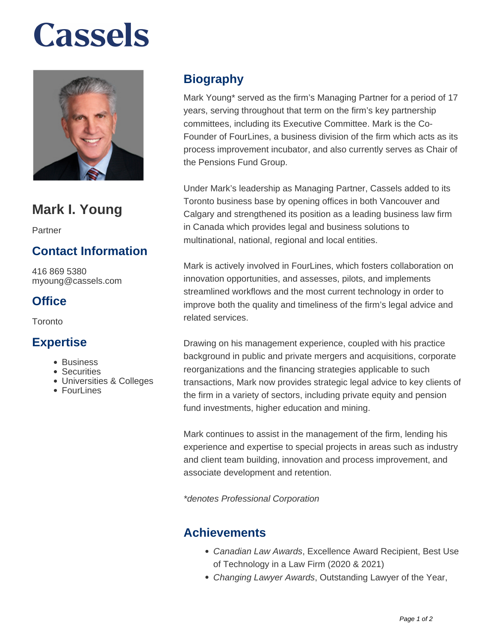# **Cassels**



# **Mark I. Young**

Partner

# **Contact Information**

416 869 5380 myoung@cassels.com

# **Office**

Toronto

#### **Expertise**

- Business
- Securities
- Universities & Colleges
- $\bullet$  Fourl ines

# **Biography**

Mark Young\* served as the firm's Managing Partner for a period of 17 years, serving throughout that term on the firm's key partnership committees, including its Executive Committee. Mark is the Co-Founder of FourLines, a business division of the firm which acts as its process improvement incubator, and also currently serves as Chair of the Pensions Fund Group.

Under Mark's leadership as Managing Partner, Cassels added to its Toronto business base by opening offices in both Vancouver and Calgary and strengthened its position as a leading business law firm in Canada which provides legal and business solutions to multinational, national, regional and local entities.

Mark is actively involved in FourLines, which fosters collaboration on innovation opportunities, and assesses, pilots, and implements streamlined workflows and the most current technology in order to improve both the quality and timeliness of the firm's legal advice and related services.

Drawing on his management experience, coupled with his practice background in public and private mergers and acquisitions, corporate reorganizations and the financing strategies applicable to such transactions, Mark now provides strategic legal advice to key clients of the firm in a variety of sectors, including private equity and pension fund investments, higher education and mining.

Mark continues to assist in the management of the firm, lending his experience and expertise to special projects in areas such as industry and client team building, innovation and process improvement, and associate development and retention.

\*denotes Professional Corporation

#### **Achievements**

- Canadian Law Awards, Excellence Award Recipient, Best Use of Technology in a Law Firm (2020 & 2021)
- Changing Lawyer Awards, Outstanding Lawyer of the Year,